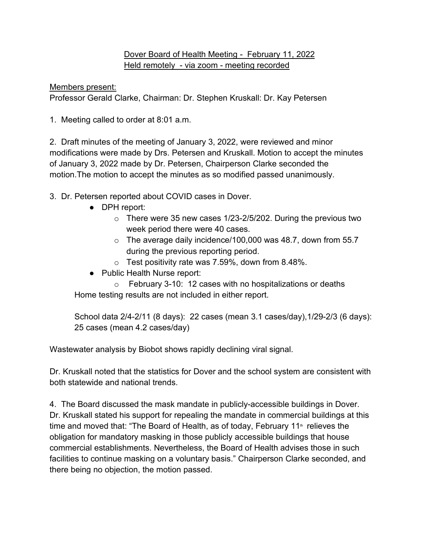## Dover Board of Health Meeting - February 11, 2022 Held remotely - via zoom - meeting recorded

Members present:

Professor Gerald Clarke, Chairman: Dr. Stephen Kruskall: Dr. Kay Petersen

1. Meeting called to order at 8:01 a.m.

2. Draft minutes of the meeting of January 3, 2022, were reviewed and minor modifications were made by Drs. Petersen and Kruskall. Motion to accept the minutes of January 3, 2022 made by Dr. Petersen, Chairperson Clarke seconded the motion.The motion to accept the minutes as so modified passed unanimously.

- 3. Dr. Petersen reported about COVID cases in Dover.
	- DPH report:
		- o There were 35 new cases 1/23-2/5/202. During the previous two week period there were 40 cases.
		- $\circ$  The average daily incidence/100,000 was 48.7, down from 55.7 during the previous reporting period.
		- o Test positivity rate was 7.59%, down from 8.48%.
	- Public Health Nurse report:

o February 3-10: 12 cases with no hospitalizations or deaths Home testing results are not included in either report.

School data 2/4-2/11 (8 days): 22 cases (mean 3.1 cases/day),1/29-2/3 (6 days): 25 cases (mean 4.2 cases/day)

Wastewater analysis by Biobot shows rapidly declining viral signal.

Dr. Kruskall noted that the statistics for Dover and the school system are consistent with both statewide and national trends.

4. The Board discussed the mask mandate in publicly-accessible buildings in Dover. Dr. Kruskall stated his support for repealing the mandate in commercial buildings at this time and moved that: "The Board of Health, as of today, February  $11<sup>th</sup>$  relieves the obligation for mandatory masking in those publicly accessible buildings that house commercial establishments. Nevertheless, the Board of Health advises those in such facilities to continue masking on a voluntary basis." Chairperson Clarke seconded, and there being no objection, the motion passed.